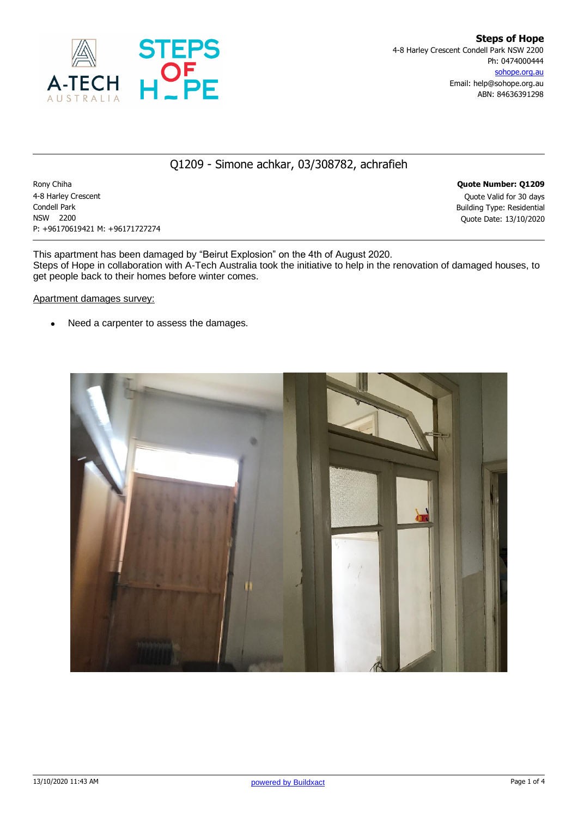

## Q1209 - Simone achkar, 03/308782, achrafieh

Rony Chiha **Quote Number: Q1209** 4-8 Harley Crescent Quote Valid for 30 days Condell Park Building Type: Residential NSW 2200 Quote Date: 13/10/2020 P: +96170619421 M: +96171727274

This apartment has been damaged by "Beirut Explosion" on the 4th of August 2020. Steps of Hope in collaboration with A-Tech Australia took the initiative to help in the renovation of damaged houses, to get people back to their homes before winter comes.

#### Apartment damages survey:

• Need a carpenter to assess the damages.

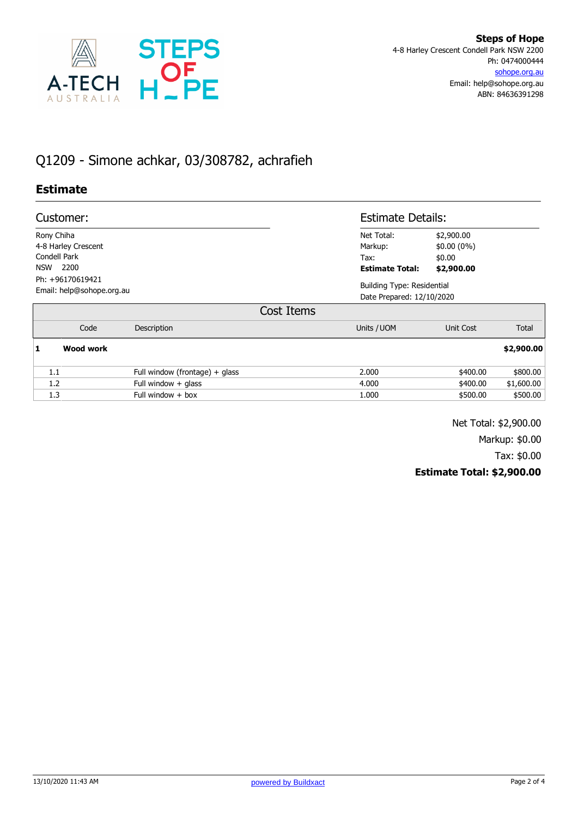

# Q1209 - Simone achkar, 03/308782, achrafieh

## **Estimate**

| Customer:                                     |                                  | <b>Estimate Details:</b>       |                                                                |              |
|-----------------------------------------------|----------------------------------|--------------------------------|----------------------------------------------------------------|--------------|
| Rony Chiha<br>4-8 Harley Crescent             |                                  | Net Total:<br>Markup:          | \$2,900.00<br>$$0.00(0\%)$                                     |              |
| Condell Park<br>2200<br><b>NSW</b>            |                                  | Tax:<br><b>Estimate Total:</b> | \$0.00<br>\$2,900.00                                           |              |
| Ph: +96170619421<br>Email: help@sohope.org.au |                                  |                                | <b>Building Type: Residential</b><br>Date Prepared: 12/10/2020 |              |
| Cost Items                                    |                                  |                                |                                                                |              |
| Code                                          | Description                      | Units / UOM                    | Unit Cost                                                      | <b>Total</b> |
| <b>Wood work</b><br>1                         |                                  |                                |                                                                | \$2,900.00   |
| 1.1                                           | Full window (frontage) $+$ glass | 2.000                          | \$400.00                                                       | \$800.00     |
| 1.2                                           | Full window $+$ glass            | 4.000                          | \$400.00                                                       | \$1,600.00   |
| 1.3                                           | Full window $+$ box              | 1.000                          | \$500.00                                                       | \$500.00     |

Net Total: \$2,900.00

Markup: \$0.00

Tax: \$0.00

### **Estimate Total: \$2,900.00**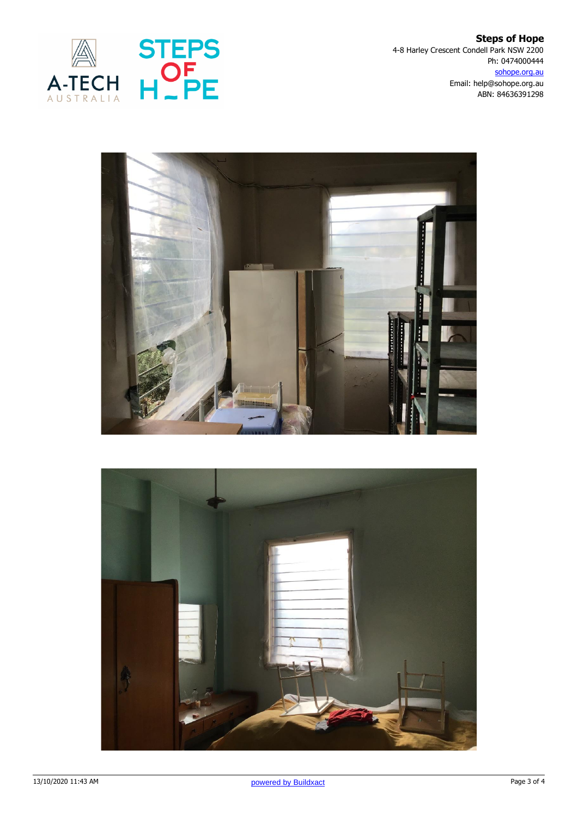

**Steps of Hope** 4-8 Harley Crescent Condell Park NSW 2200 Ph: 0474000444 sohope.org.au Email: help@sohope.org.au ABN: 84636391298